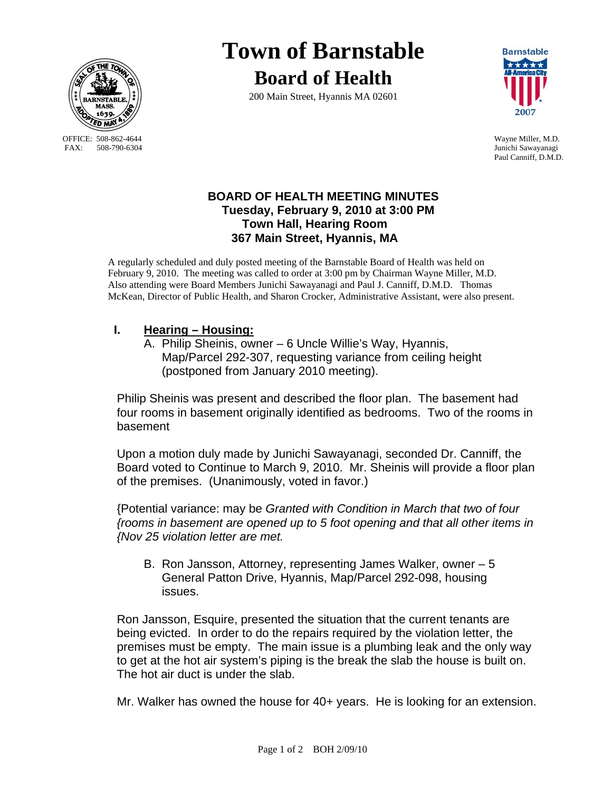

OFFICE: 508-862-4644 Wayne Miller, M.D.<br>
FAX: 508-790-6304 Junichi Sawayanagi

# **Town of Barnstable Board of Health**

200 Main Street, Hyannis MA 02601



Junichi Sawayanagi Paul Canniff, D.M.D.

## **BOARD OF HEALTH MEETING MINUTES Tuesday, February 9, 2010 at 3:00 PM Town Hall, Hearing Room 367 Main Street, Hyannis, MA**

A regularly scheduled and duly posted meeting of the Barnstable Board of Health was held on February 9, 2010. The meeting was called to order at 3:00 pm by Chairman Wayne Miller, M.D. Also attending were Board Members Junichi Sawayanagi and Paul J. Canniff, D.M.D. Thomas McKean, Director of Public Health, and Sharon Crocker, Administrative Assistant, were also present.

# **I. Hearing – Housing:**

 A. Philip Sheinis, owner – 6 Uncle Willie's Way, Hyannis, Map/Parcel 292-307, requesting variance from ceiling height (postponed from January 2010 meeting).

Philip Sheinis was present and described the floor plan. The basement had four rooms in basement originally identified as bedrooms. Two of the rooms in basement

Upon a motion duly made by Junichi Sawayanagi, seconded Dr. Canniff, the Board voted to Continue to March 9, 2010. Mr. Sheinis will provide a floor plan of the premises. (Unanimously, voted in favor.)

{Potential variance: may be *Granted with Condition in March that two of four {rooms in basement are opened up to 5 foot opening and that all other items in {Nov 25 violation letter are met.* 

B. Ron Jansson, Attorney, representing James Walker, owner – 5 General Patton Drive, Hyannis, Map/Parcel 292-098, housing issues.

Ron Jansson, Esquire, presented the situation that the current tenants are being evicted. In order to do the repairs required by the violation letter, the premises must be empty. The main issue is a plumbing leak and the only way to get at the hot air system's piping is the break the slab the house is built on. The hot air duct is under the slab.

Mr. Walker has owned the house for 40+ years. He is looking for an extension.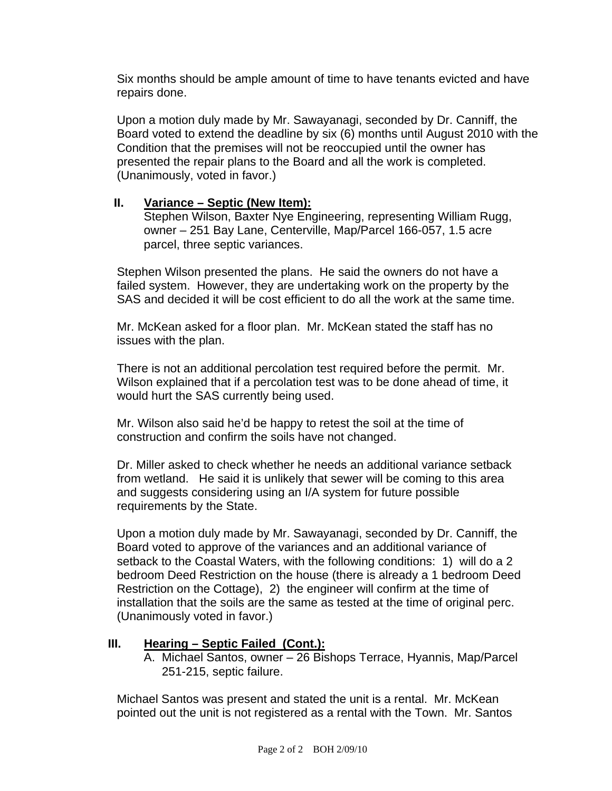Six months should be ample amount of time to have tenants evicted and have repairs done.

Upon a motion duly made by Mr. Sawayanagi, seconded by Dr. Canniff, the Board voted to extend the deadline by six (6) months until August 2010 with the Condition that the premises will not be reoccupied until the owner has presented the repair plans to the Board and all the work is completed. (Unanimously, voted in favor.)

#### **II. Variance – Septic (New Item):**

Stephen Wilson, Baxter Nye Engineering, representing William Rugg, owner – 251 Bay Lane, Centerville, Map/Parcel 166-057, 1.5 acre parcel, three septic variances.

Stephen Wilson presented the plans. He said the owners do not have a failed system. However, they are undertaking work on the property by the SAS and decided it will be cost efficient to do all the work at the same time.

Mr. McKean asked for a floor plan. Mr. McKean stated the staff has no issues with the plan.

There is not an additional percolation test required before the permit. Mr. Wilson explained that if a percolation test was to be done ahead of time, it would hurt the SAS currently being used.

Mr. Wilson also said he'd be happy to retest the soil at the time of construction and confirm the soils have not changed.

Dr. Miller asked to check whether he needs an additional variance setback from wetland. He said it is unlikely that sewer will be coming to this area and suggests considering using an I/A system for future possible requirements by the State.

Upon a motion duly made by Mr. Sawayanagi, seconded by Dr. Canniff, the Board voted to approve of the variances and an additional variance of setback to the Coastal Waters, with the following conditions: 1) will do a 2 bedroom Deed Restriction on the house (there is already a 1 bedroom Deed Restriction on the Cottage), 2) the engineer will confirm at the time of installation that the soils are the same as tested at the time of original perc. (Unanimously voted in favor.)

#### **III. Hearing – Septic Failed (Cont.):**

A. Michael Santos, owner – 26 Bishops Terrace, Hyannis, Map/Parcel 251-215, septic failure.

Michael Santos was present and stated the unit is a rental. Mr. McKean pointed out the unit is not registered as a rental with the Town. Mr. Santos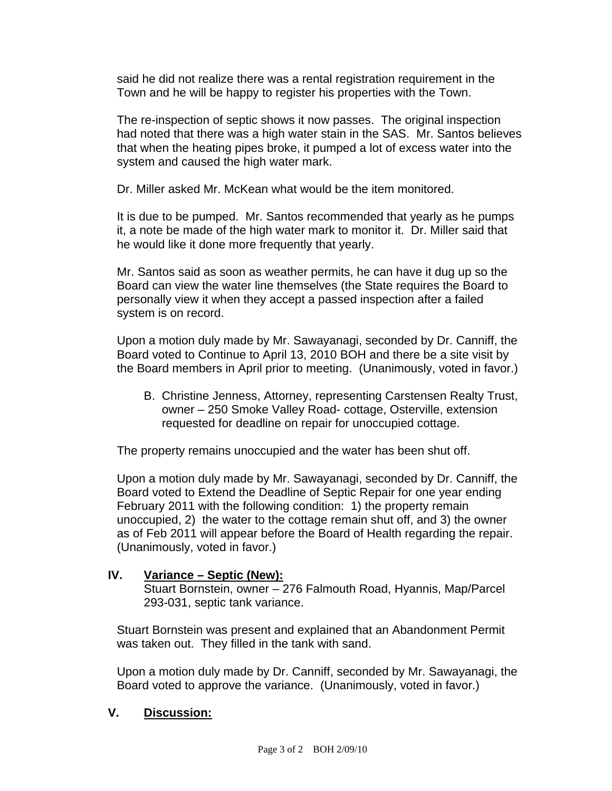said he did not realize there was a rental registration requirement in the Town and he will be happy to register his properties with the Town.

The re-inspection of septic shows it now passes. The original inspection had noted that there was a high water stain in the SAS. Mr. Santos believes that when the heating pipes broke, it pumped a lot of excess water into the system and caused the high water mark.

Dr. Miller asked Mr. McKean what would be the item monitored.

It is due to be pumped. Mr. Santos recommended that yearly as he pumps it, a note be made of the high water mark to monitor it. Dr. Miller said that he would like it done more frequently that yearly.

Mr. Santos said as soon as weather permits, he can have it dug up so the Board can view the water line themselves (the State requires the Board to personally view it when they accept a passed inspection after a failed system is on record.

Upon a motion duly made by Mr. Sawayanagi, seconded by Dr. Canniff, the Board voted to Continue to April 13, 2010 BOH and there be a site visit by the Board members in April prior to meeting. (Unanimously, voted in favor.)

B. Christine Jenness, Attorney, representing Carstensen Realty Trust, owner – 250 Smoke Valley Road- cottage, Osterville, extension requested for deadline on repair for unoccupied cottage.

The property remains unoccupied and the water has been shut off.

Upon a motion duly made by Mr. Sawayanagi, seconded by Dr. Canniff, the Board voted to Extend the Deadline of Septic Repair for one year ending February 2011 with the following condition: 1) the property remain unoccupied, 2) the water to the cottage remain shut off, and 3) the owner as of Feb 2011 will appear before the Board of Health regarding the repair. (Unanimously, voted in favor.)

## **IV. Variance – Septic (New):**

Stuart Bornstein, owner – 276 Falmouth Road, Hyannis, Map/Parcel 293-031, septic tank variance.

Stuart Bornstein was present and explained that an Abandonment Permit was taken out. They filled in the tank with sand.

Upon a motion duly made by Dr. Canniff, seconded by Mr. Sawayanagi, the Board voted to approve the variance. (Unanimously, voted in favor.)

## **V. Discussion:**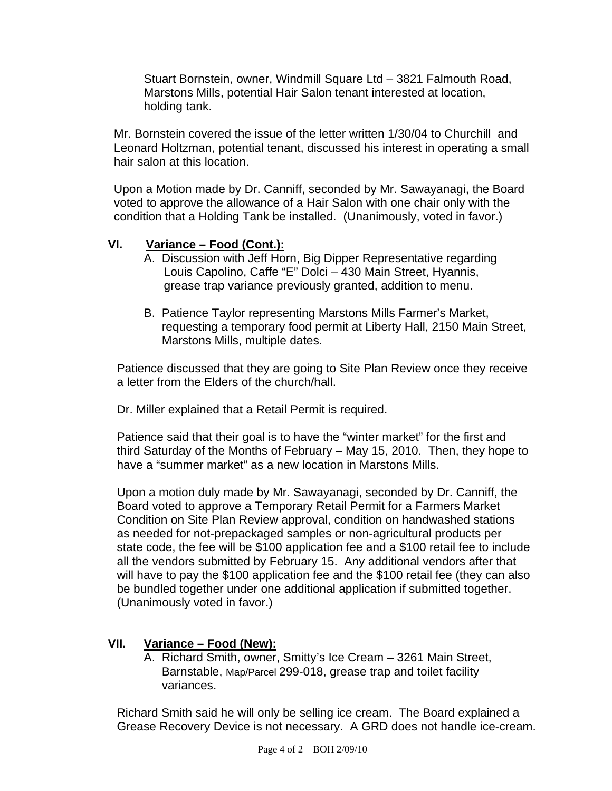Stuart Bornstein, owner, Windmill Square Ltd – 3821 Falmouth Road, Marstons Mills, potential Hair Salon tenant interested at location, holding tank.

Mr. Bornstein covered the issue of the letter written 1/30/04 to Churchill and Leonard Holtzman, potential tenant, discussed his interest in operating a small hair salon at this location.

Upon a Motion made by Dr. Canniff, seconded by Mr. Sawayanagi, the Board voted to approve the allowance of a Hair Salon with one chair only with the condition that a Holding Tank be installed. (Unanimously, voted in favor.)

## **VI. Variance – Food (Cont.):**

- A. Discussion with Jeff Horn, Big Dipper Representative regarding Louis Capolino, Caffe "E" Dolci – 430 Main Street, Hyannis, grease trap variance previously granted, addition to menu.
- B. Patience Taylor representing Marstons Mills Farmer's Market, requesting a temporary food permit at Liberty Hall, 2150 Main Street, Marstons Mills, multiple dates.

Patience discussed that they are going to Site Plan Review once they receive a letter from the Elders of the church/hall.

Dr. Miller explained that a Retail Permit is required.

Patience said that their goal is to have the "winter market" for the first and third Saturday of the Months of February – May 15, 2010. Then, they hope to have a "summer market" as a new location in Marstons Mills.

Upon a motion duly made by Mr. Sawayanagi, seconded by Dr. Canniff, the Board voted to approve a Temporary Retail Permit for a Farmers Market Condition on Site Plan Review approval, condition on handwashed stations as needed for not-prepackaged samples or non-agricultural products per state code, the fee will be \$100 application fee and a \$100 retail fee to include all the vendors submitted by February 15. Any additional vendors after that will have to pay the \$100 application fee and the \$100 retail fee (they can also be bundled together under one additional application if submitted together. (Unanimously voted in favor.)

## **VII. Variance – Food (New):**

A. Richard Smith, owner, Smitty's Ice Cream – 3261 Main Street, Barnstable, Map/Parcel 299-018, grease trap and toilet facility variances.

Richard Smith said he will only be selling ice cream. The Board explained a Grease Recovery Device is not necessary. A GRD does not handle ice-cream.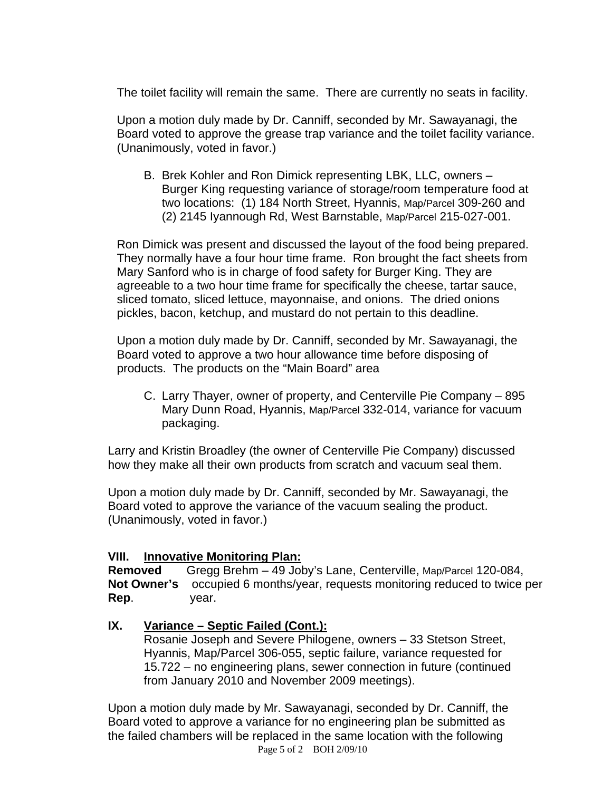The toilet facility will remain the same. There are currently no seats in facility.

Upon a motion duly made by Dr. Canniff, seconded by Mr. Sawayanagi, the Board voted to approve the grease trap variance and the toilet facility variance. (Unanimously, voted in favor.)

B. Brek Kohler and Ron Dimick representing LBK, LLC, owners – Burger King requesting variance of storage/room temperature food at two locations: (1) 184 North Street, Hyannis, Map/Parcel 309-260 and (2) 2145 Iyannough Rd, West Barnstable, Map/Parcel 215-027-001.

Ron Dimick was present and discussed the layout of the food being prepared. They normally have a four hour time frame. Ron brought the fact sheets from Mary Sanford who is in charge of food safety for Burger King. They are agreeable to a two hour time frame for specifically the cheese, tartar sauce, sliced tomato, sliced lettuce, mayonnaise, and onions. The dried onions pickles, bacon, ketchup, and mustard do not pertain to this deadline.

Upon a motion duly made by Dr. Canniff, seconded by Mr. Sawayanagi, the Board voted to approve a two hour allowance time before disposing of products. The products on the "Main Board" area

C. Larry Thayer, owner of property, and Centerville Pie Company – 895 Mary Dunn Road, Hyannis, Map/Parcel 332-014, variance for vacuum packaging.

Larry and Kristin Broadley (the owner of Centerville Pie Company) discussed how they make all their own products from scratch and vacuum seal them.

Upon a motion duly made by Dr. Canniff, seconded by Mr. Sawayanagi, the Board voted to approve the variance of the vacuum sealing the product. (Unanimously, voted in favor.)

## **VIII. Innovative Monitoring Plan:**

**Removed** Gregg Brehm – 49 Joby's Lane, Centerville, Map/Parcel 120-084, **Not Owner's** occupied 6 months/year, requests monitoring reduced to twice per **Rep**. year.

## **IX. Variance – Septic Failed (Cont.):**

 Rosanie Joseph and Severe Philogene, owners – 33 Stetson Street, Hyannis, Map/Parcel 306-055, septic failure, variance requested for 15.722 – no engineering plans, sewer connection in future (continued from January 2010 and November 2009 meetings).

 Page 5 of 2 BOH 2/09/10 Upon a motion duly made by Mr. Sawayanagi, seconded by Dr. Canniff, the Board voted to approve a variance for no engineering plan be submitted as the failed chambers will be replaced in the same location with the following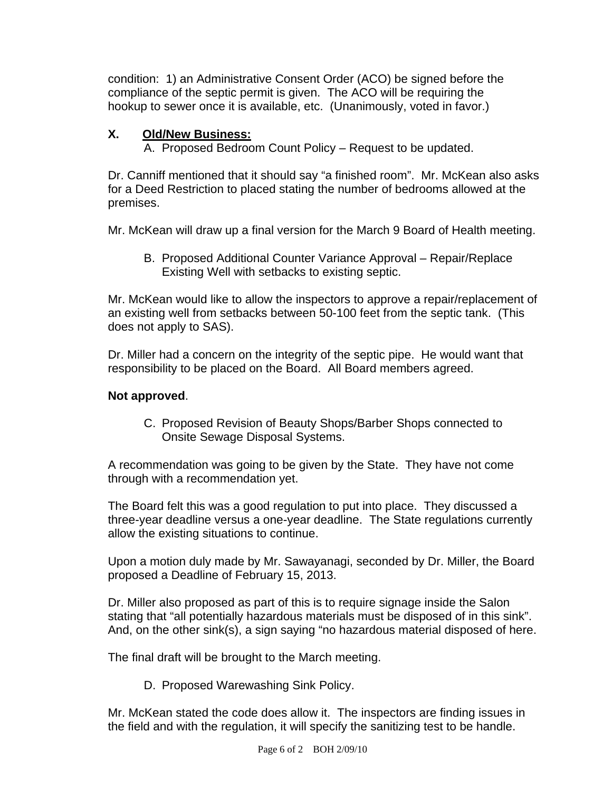condition: 1) an Administrative Consent Order (ACO) be signed before the compliance of the septic permit is given. The ACO will be requiring the hookup to sewer once it is available, etc. (Unanimously, voted in favor.)

# **X. Old/New Business:**

A. Proposed Bedroom Count Policy – Request to be updated.

Dr. Canniff mentioned that it should say "a finished room". Mr. McKean also asks for a Deed Restriction to placed stating the number of bedrooms allowed at the premises.

Mr. McKean will draw up a final version for the March 9 Board of Health meeting.

B. Proposed Additional Counter Variance Approval – Repair/Replace Existing Well with setbacks to existing septic.

Mr. McKean would like to allow the inspectors to approve a repair/replacement of an existing well from setbacks between 50-100 feet from the septic tank. (This does not apply to SAS).

Dr. Miller had a concern on the integrity of the septic pipe. He would want that responsibility to be placed on the Board. All Board members agreed.

# **Not approved**.

C. Proposed Revision of Beauty Shops/Barber Shops connected to Onsite Sewage Disposal Systems.

A recommendation was going to be given by the State. They have not come through with a recommendation yet.

The Board felt this was a good regulation to put into place. They discussed a three-year deadline versus a one-year deadline. The State regulations currently allow the existing situations to continue.

Upon a motion duly made by Mr. Sawayanagi, seconded by Dr. Miller, the Board proposed a Deadline of February 15, 2013.

Dr. Miller also proposed as part of this is to require signage inside the Salon stating that "all potentially hazardous materials must be disposed of in this sink". And, on the other sink(s), a sign saying "no hazardous material disposed of here.

The final draft will be brought to the March meeting.

D. Proposed Warewashing Sink Policy.

Mr. McKean stated the code does allow it. The inspectors are finding issues in the field and with the regulation, it will specify the sanitizing test to be handle.